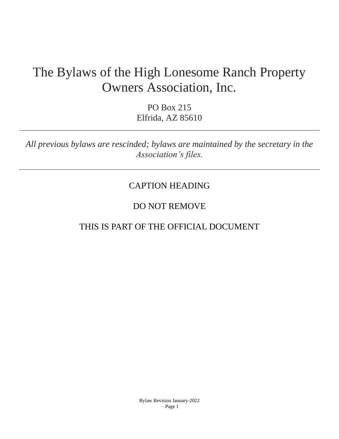# The Bylaws of the High Lonesome Ranch Property Owners Association, Inc.

PO Box 215 Elfrida, AZ 85610

*All previous bylaws are rescinded; bylaws are maintained by the secretary in the Association's files.*

# CAPTION HEADING

# DO NOT REMOVE

# THIS IS PART OF THE OFFICIAL DOCUMENT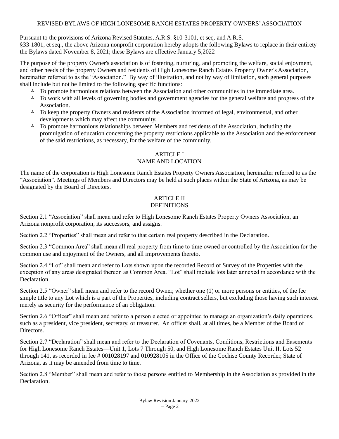# REVISED BYLAWS OF HIGH LONESOME RANCH ESTATES PROPERTY OWNERS'ASSOCIATION

Pursuant to the provisions of Arizona Revised Statutes, A.R.S. §10-3101, et seq. and A.R.S.

§33-1801, et seq., the above Arizona nonprofit corporation hereby adopts the following Bylaws to replace in their entirety the Bylaws dated November 8, 2021; these Bylaws are effective January 5,2022

The purpose of the property Owner's association is of fostering, nurturing, and promoting the welfare, social enjoyment, and other needs of the property Owners and residents of High Lonesome Ranch Estates Property Owner's Association, hereinafter referred to as the "Association." By way of illustration, and not by way of limitation, such general purposes shall include but not be limited to the following specific functions:

- $\uparrow$  To promote harmonious relations between the Association and other communities in the immediate area.
- $\sim$  To work with all levels of governing bodies and government agencies for the general welfare and progress of the Association.
- $\sim$  To keep the property Owners and residents of the Association informed of legal, environmental, and other developments which may affect the community.
- $\sim$  To promote harmonious relationships between Members and residents of the Association, including the promulgation of education concerning the property restrictions applicable to the Association and the enforcement of the said restrictions, as necessary, for the welfare of the community.

# ARTICLE I

# NAME AND LOCATION

The name of the corporation is High Lonesome Ranch Estates Property Owners Association, hereinafter referred to as the "Association". Meetings of Members and Directors may be held at such places within the State of Arizona, as may be designated by the Board of Directors.

## ARTICLE II **DEFINITIONS**

Section 2.1 "Association" shall mean and refer to High Lonesome Ranch Estates Property Owners Association, an Arizona nonprofit corporation, its successors, and assigns.

Section 2.2 "Properties" shall mean and refer to that certain real property described in the Declaration.

Section 2.3 "Common Area" shall mean all real property from time to time owned or controlled by the Association for the common use and enjoyment of the Owners, and all improvements thereto.

Section 2.4 "Lot" shall mean and refer to Lots shown upon the recorded Record of Survey of the Properties with the exception of any areas designated thereon as Common Area. "Lot" shall include lots later annexed in accordance with the Declaration.

Section 2.5 "Owner" shall mean and refer to the record Owner, whether one (1) or more persons or entities, of the fee simple title to any Lot which is a part of the Properties, including contract sellers, but excluding those having such interest merely as security for the performance of an obligation.

Section 2.6 "Officer" shall mean and refer to a person elected or appointed to manage an organization's daily operations, such as a president, vice president, secretary, or treasurer. An officer shall, at all times, be a Member of the Board of Directors.

Section 2.7 "Declaration" shall mean and refer to the Declaration of Covenants, Conditions, Restrictions and Easements for High Lonesome Ranch Estates—Unit 1, Lots 7 Through 50, and High Lonesome Ranch Estates Unit II, Lots 52 through 141, as recorded in fee # 001028197 and 010928105 in the Office of the Cochise County Recorder, State of Arizona, as it may be amended from time to time.

Section 2.8 "Member" shall mean and refer to those persons entitled to Membership in the Association as provided in the Declaration.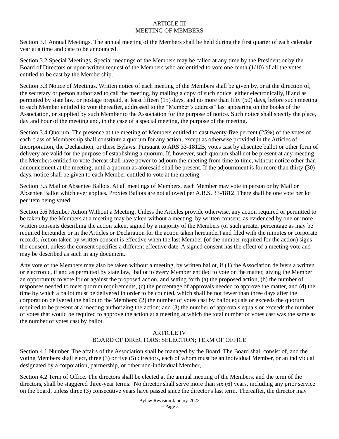### ARTICLE III MEETING OF MEMBERS

Section 3.1 Annual Meetings. The annual meeting of the Members shall be held during the first quarter of each calendar year at a time and date to be announced.

Section 3.2 Special Meetings. Special meetings of the Members may be called at any time by the President or by the Board of Directors or upon written request of the Members who are entitled to vote one-tenth (1/10) of all the votes entitled to be cast by the Membership.

Section 3.3 Notice of Meetings. Written notice of each meeting of the Members shall be given by, or at the direction of, the secretary or person authorized to call the meeting, by mailing a copy of such notice, either electronically, if and as permitted by state law, or postage prepaid, at least fifteen (15) days, and no more than fifty (50) days, before such meeting to each Member entitled to vote thereafter, addressed to the "Member's address" last appearing on the books of the Association, or supplied by such Member to the Association for the purpose of notice. Such notice shall specify the place, day and hour of the meeting and, in the case of a special meeting, the purpose of the meeting.

Section 3.4 Quorum. The presence at the meeting of Members entitled to cast twenty-five percent (25%) of the votes of each class of Membership shall constitute a quorum for any action, except as otherwise provided in the Articles of Incorporation, the Declaration, or these Bylaws. Pursuant to ARS 33-1812B, votes cast by absentee ballot or other form of delivery are valid for the purpose of establishing a quorum. If, however, such quorum shall not be present at any meeting, the Members entitled to vote thereat shall have power to adjourn the meeting from time to time, without notice other than announcement at the meeting, until a quorum as aforesaid shall be present. If the adjournment is for more than thirty (30) days, notice shall be given to each Member entitled to vote at the meeting.

Section 3.5 Mail or Absentee Ballots. At all meetings of Members, each Member may vote in person or by Mail or Absentee Ballot which ever applies. Proxies Ballots are not allowed per A.R.S. 33-1812. There shall be one vote per lot per item being voted.

Section 3.6 Member Action Without a Meeting. Unless the Articles provide otherwise, any action required or permitted to be taken by the Members at a meeting may be taken without a meeting, by written consent, as evidenced by one or more written consents describing the action taken, signed by a majority of the Members (or such greater percentage as may be required hereunder or in the Articles or Declaration for the action taken hereunder) and filed with the minutes or corporate records. Action taken by written consent is effective when the last Member (of the number required for the action) signs the consent, unless the consent specifies a different effective date. A signed consent has the effect of a meeting vote and may be described as such in any document.

Any vote of the Members may also be taken without a meeting, by written ballot, if (1) the Association delivers a written or electronic, if and as permitted by state law, ballot to every Member entitled to vote on the matter, giving the Member an opportunity to vote for or against the proposed action, and setting forth (a) the proposed action, (b) the number of responses needed to meet quorum requirements, (c) the percentage of approvals needed to approve the matter, and (d) the time by which a ballot must be delivered in order to be counted, which shall be not fewer than three days after the corporation delivered the ballot to the Members; (2) the number of votes cast by ballot equals or exceeds the quorum required to be present at a meeting authorizing the action; and (3) the number of approvals equals or exceeds the number of votes that would be required to approve the action at a meeting at which the total number of votes cast was the same as the number of votes cast by ballot.

# ARTICLE IV BOARD OF DIRECTORS; SELECTION; TERM OF OFFICE

Section 4.1 Number. The affairs of the Association shall be managed by the Board. The Board shall consist of, and the voting Members shall elect, three (3) or five (5) directors, each of whom must be an individual Member, or an individual designated by a corporation, partnership, or other non-individual Member,

Section 4.2 Term of Office. The directors shall be elected at the annual meeting of the Members, and the term of the directors, shall be staggered three-year terms. No director shall serve more than six (6) years, including any prior service on the board, unless three (3) consecutive years have passed since the director's last term. Thereafter, the director may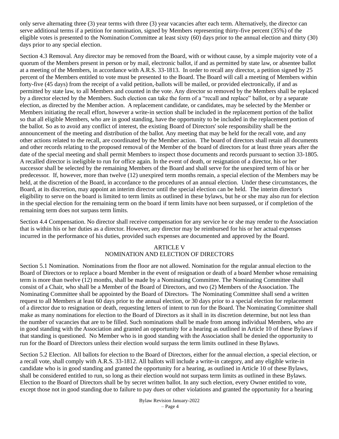only serve alternating three (3) year terms with three (3) year vacancies after each term. Alternatively, the director can serve additional terms if a petition for nomination, signed by Members representing thirty-five percent (35%) of the eligible votes is presented to the Nomination Committee at least sixty (60) days prior to the annual election and thirty (30) days prior to any special election.

Section 4.3 Removal. Any director may be removed from the Board, with or without cause, by a simple majority vote of a quorum of the Members present in person or by mail, electronic ballot, if and as permitted by state law, or absentee ballot at a meeting of the Members, in accordance with A.R.S. 33-1813. In order to recall any director, a petition signed by 25 percent of the Members entitled to vote must be presented to the Board. The Board will call a meeting of Members within forty-five (45 days) from the receipt of a valid petition, ballots will be mailed, or provided electronically, if and as permitted by state law, to all Members and counted in the vote. Any director so removed by the Members shall be replaced by a director elected by the Members. Such election can take the form of a "recall and replace" ballot, or by a separate election, as directed by the Member action. A replacement candidate, or candidates, may be selected by the Member or Members initiating the recall effort, however a write-in section shall be included in the replacement portion of the ballot so that all eligible Members, who are in good standing, have the opportunity to be included in the replacement portion of the ballot. So as to avoid any conflict of interest, the existing Board of Directors' sole responsibility shall be the announcement of the meeting and distribution of the ballot. Any meeting that may be held for the recall vote, and any other actions related to the recall, are coordinated by the Member action. The board of directors shall retain all documents and other records relating to the proposed removal of the Member of the board of directors for at least three years after the date of the special meeting and shall permit Members to inspect those documents and records pursuant to section 33-1805. A recalled director is ineligible to run for office again. In the event of death, or resignation of a director, his or her successor shall be selected by the remaining Members of the Board and shall serve for the unexpired term of his or her predecessor. If, however, more than twelve (12) unexpired term months remain, a special election of the Members may be held, at the discretion of the Board, in accordance to the procedures of an annual election. Under these circumstances, the Board, at its discretion, may appoint an interim director until the special election can be held. The interim director's eligibility to serve on the board is limited to term limits as outlined in these bylaws, but he or she may also run for election in the special election for the remaining term on the board if term limits have not been surpassed, or if completion of the remaining term does not surpass term limits.

Section 4.4 Compensation. No director shall receive compensation for any service he or she may render to the Association that is within his or her duties as a director. However, any director may be reimbursed for his or her actual expenses incurred in the performance of his duties, provided such expenses are documented and approved by the Board.

# ARTICLE V NOMINATION AND ELECTION OF DIRECTORS

Section 5.1 Nomination. Nominations from the floor are not allowed. Nomination for the regular annual election to the Board of Directors or to replace a board Member in the event of resignation or death of a board Member whose remaining term is more than twelve (12) months, shall be made by a Nominating Committee. The Nominating Committee shall consist of a Chair, who shall be a Member of the Board of Directors, and two (2) Members of the Association. The Nominating Committee shall be appointed by the Board of Directors. The Nominating Committee shall send a written request to all Members at least 60 days prior to the annual election, or 30 days prior to a special election for replacement of a director due to resignation or death, requesting letters of intent to run for the Board. The Nominating Committee shall make as many nominations for election to the Board of Directors as it shall in its discretion determine, but not less than the number of vacancies that are to be filled. Such nominations shall be made from among individual Members, who are in good standing with the Association and granted an opportunity for a hearing as outlined in Article 10 of these Bylaws if that standing is questioned. No Member who is in good standing with the Association shall be denied the opportunity to run for the Board of Directors unless their election would surpass the term limits outlined in these Bylaws.

Section 5.2 Election. All ballots for election to the Board of Directors, either for the annual election, a special election, or a recall vote, shall comply with A.R.S. 33-1812. All ballots will include a write-in category, and any eligible write-in candidate who is in good standing and granted the opportunity for a hearing, as outlined in Article 10 of these Bylaws, shall be considered entitled to run, so long as their election would not surpass term limits as outlined in these Bylaws. Election to the Board of Directors shall be by secret written ballot. In any such election, every Owner entitled to vote, except those not in good standing due to failure to pay dues or other violations and granted the opportunity for a hearing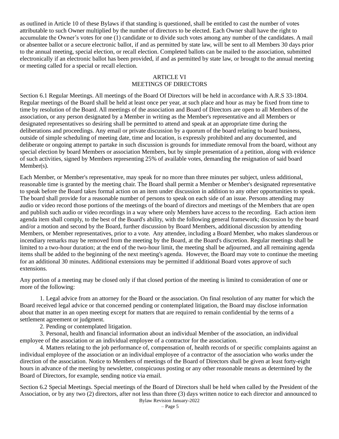as outlined in Article 10 of these Bylaws if that standing is questioned, shall be entitled to cast the number of votes attributable to such Owner multiplied by the number of directors to be elected. Each Owner shall have the right to accumulate the Owner's votes for one (1) candidate or to divide such votes among any number of the candidates. A mail or absentee ballot or a secure electronic ballot, if and as permitted by state law, will be sent to all Members 30 days prior to the annual meeting, special election, or recall election. Completed ballots can be mailed to the association, submitted electronically if an electronic ballot has been provided, if and as permitted by state law, or brought to the annual meeting or meeting called for a special or recall election.

# ARTICLE VI MEETINGS OF DIRECTORS

Section 6.1 Regular Meetings. All meetings of the Board Of Directors will be held in accordance with A.R.S 33-1804. Regular meetings of the Board shall be held at least once per year, at such place and hour as may be fixed from time to time by resolution of the Board. All meetings of the association and Board of Directors are open to all Members of the association, or any person designated by a Member in writing as the Member's representative and all Members or designated representatives so desiring shall be permitted to attend and speak at an appropriate time during the deliberations and proceedings. Any email or private discussion by a quorum of the board relating to board business, outside of simple scheduling of meeting date, time and location, is expressly prohibited and any documented, and deliberate or ongoing attempt to partake in such discussion is grounds for immediate removal from the board, without any special election by board Members or association Members, but by simple presentation of a petition, along with evidence of such activities, signed by Members representing 25% of available votes, demanding the resignation of said board Member(s).

Each Member, or Member's representative, may speak for no more than three minutes per subject, unless additional, reasonable time is granted by the meeting chair. The Board shall permit a Member or Member's designated representative to speak before the Board takes formal action on an item under discussion in addition to any other opportunities to speak. The board shall provide for a reasonable number of persons to speak on each side of an issue. Persons attending may audio or video record those portions of the meetings of the board of directors and meetings of the Members that are open and publish such audio or video recordings in a way where only Members have access to the recording. Each action item agenda item shall comply, to the best of the Board's ability, with the following general framework; discussion by the board and/or a motion and second by the Board, further discussion by Board Members, additional discussion by attending Members, or Member representatives, prior to a vote. Any attendee, including a Board Member, who makes slanderous or incendiary remarks may be removed from the meeting by the Board, at the Board's discretion. Regular meetings shall be limited to a two-hour duration; at the end of the two-hour limit, the meeting shall be adjourned, and all remaining agenda items shall be added to the beginning of the next meeting's agenda. However, the Board may vote to continue the meeting for an additional 30 minutes. Additional extensions may be permitted if additional Board votes approve of such extensions.

Any portion of a meeting may be closed only if that closed portion of the meeting is limited to consideration of one or more of the following:

1. Legal advice from an attorney for the Board or the association. On final resolution of any matter for which the Board received legal advice or that concerned pending or contemplated litigation, the Board may disclose information about that matter in an open meeting except for matters that are required to remain confidential by the terms of a settlement agreement or judgment.

2. Pending or contemplated litigation.

3. Personal, health and financial information about an individual Member of the association, an individual employee of the association or an individual employee of a contractor for the association.

4. Matters relating to the job performance of, compensation of, health records of or specific complaints against an individual employee of the association or an individual employee of a contractor of the association who works under the direction of the association. Notice to Members of meetings of the Board of Directors shall be given at least forty-eight hours in advance of the meeting by newsletter, conspicuous posting or any other reasonable means as determined by the Board of Directors, for example, sending notice via email.

Bylaw Revision January-2022 Section 6.2 Special Meetings. Special meetings of the Board of Directors shall be held when called by the President of the Association, or by any two (2) directors, after not less than three (3) days written notice to each director and announced to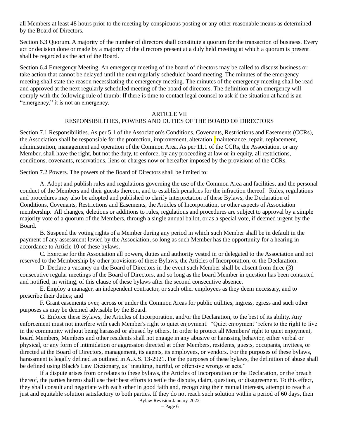all Members at least 48 hours prior to the meeting by conspicuous posting or any other reasonable means as determined by the Board of Directors.

Section 6.3 Quorum. A majority of the number of directors shall constitute a quorum for the transaction of business. Every act or decision done or made by a majority of the directors present at a duly held meeting at which a quorum is present shall be regarded as the act of the Board.

Section 6.4 Emergency Meeting. An emergency meeting of the board of directors may be called to discuss business or take action that cannot be delayed until the next regularly scheduled board meeting. The minutes of the emergency meeting shall state the reason necessitating the emergency meeting. The minutes of the emergency meeting shall be read and approved at the next regularly scheduled meeting of the board of directors. The definition of an emergency will comply with the following rule of thumb: If there is time to contact legal counsel to ask if the situation at hand is an "emergency," it is not an emergency.

#### **ARTICLE VII**

### RESPONSIBILITIES, POWERS AND DUTIES OF THE BOARD OF DIRECTORS

Section 7.1 Responsibilities. As per 5.1 of the Association's Conditions, Covenants, Restrictions and Easements (CCRs), the Association shall be responsible for the protection, improvement, alteration, maintenance, repair, replacement, administration, management and operation of the Common Area. As per 11.1 of the CCRs, the Association, or any Member, shall have the right, but not the duty, to enforce, by any proceeding at law or in equity, all restrictions, conditions, covenants, reservations, liens or charges now or hereafter imposed by the provisions of the CCRs.

Section 7.2 Powers. The powers of the Board of Directors shall be limited to:

A. Adopt and publish rules and regulations governing the use of the Common Area and facilities, and the personal conduct of the Members and their guests thereon, and to establish penalties for the infraction thereof. Rules, regulations and procedures may also be adopted and published to clarify interpretation of these Bylaws, the Declaration of Conditions, Covenants, Restrictions and Easements, the Articles of Incorporation, or other aspects of Association membership. All changes, deletions or additions to rules, regulations and procedures are subject to approval by a simple majority vote of a quorum of the Members, through a single annual ballot, or as a special vote, if deemed urgent by the Board.

B. Suspend the voting rights of a Member during any period in which such Member shall be in default in the payment of any assessment levied by the Association, so long as such Member has the opportunity for a hearing in accordance to Article 10 of these bylaws.

C. Exercise for the Association all powers, duties and authority vested in or delegated to the Association and not reserved to the Membership by other provisions of these Bylaws, the Articles of Incorporation, or the Declaration.

D. Declare a vacancy on the Board of Directors in the event such Member shall be absent from three (3) consecutive regular meetings of the Board of Directors, and so long as the board Member in question has been contacted and notified, in writing, of this clause of these bylaws after the second consecutive absence.

E. Employ a manager, an independent contractor, or such other employees as they deem necessary, and to prescribe their duties; and

F. Grant easements over, across or under the Common Areas for public utilities, ingress, egress and such other purposes as may be deemed advisable by the Board.

G. Enforce these Bylaws, the Articles of Incorporation, and/or the Declaration, to the best of its ability. Any enforcement must not interfere with each Member's right to quiet enjoyment. "Quiet enjoyment" refers to the right to live in the community without being harassed or abused by others. In order to protect all Members' right to quiet enjoyment, board Members, Members and other residents shall not engage in any abusive or harassing behavior, either verbal or physical, or any form of intimidation or aggression directed at other Members, residents, guests, occupants, invitees, or directed at the Board of Directors, management, its agents, its employees, or vendors. For the purposes of these bylaws, harassment is legally defined as outlined in A.R.S. 13-2921. For the purposes of these bylaws, the definition of abuse shall be defined using Black's Law Dictionary, as "insulting, hurtful, or offensive wrongs or acts."

If a dispute arises from or relates to these bylaws, the Articles of Incorporation or the Declaration, or the breach thereof, the parties hereto shall use their best efforts to settle the dispute, claim, question, or disagreement. To this effect, they shall consult and negotiate with each other in good faith and, recognizing their mutual interests, attempt to reach a just and equitable solution satisfactory to both parties. If they do not reach such solution within a period of 60 days, then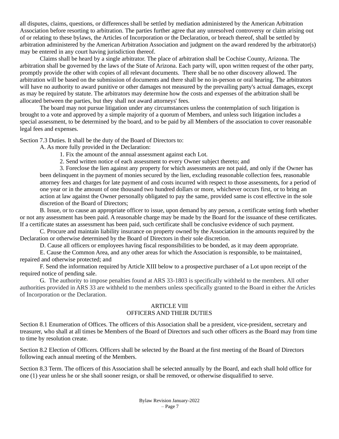all disputes, claims, questions, or differences shall be settled by mediation administered by the American Arbitration Association before resorting to arbitration. The parties further agree that any unresolved controversy or claim arising out of or relating to these bylaws, the Articles of Incorporation or the Declaration, or breach thereof, shall be settled by arbitration administered by the American Arbitration Association and judgment on the award rendered by the arbitrator(s) may be entered in any court having jurisdiction thereof.

Claims shall be heard by a single arbitrator. The place of arbitration shall be Cochise County, Arizona. The arbitration shall be governed by the laws of the State of Arizona. Each party will, upon written request of the other party, promptly provide the other with copies of all relevant documents. There shall be no other discovery allowed. The arbitration will be based on the submission of documents and there shall be no in-person or oral hearing. The arbitrators will have no authority to award punitive or other damages not measured by the prevailing party's actual damages, except as may be required by statute. The arbitrators may determine how the costs and expenses of the arbitration shall be allocated between the parties, but they shall not award attorneys' fees.

The board may not pursue litigation under any circumstances unless the contemplation of such litigation is brought to a vote and approved by a simple majority of a quorum of Members, and unless such litigation includes a special assessment, to be determined by the board, and to be paid by all Members of the association to cover reasonable legal fees and expenses.

Section 7.3 Duties. It shall be the duty of the Board of Directors to:

A. As more fully provided in the Declaration:

- 1. Fix the amount of the annual assessment against each Lot.
- 2. Send written notice of each assessment to every Owner subject thereto; and

3. Foreclose the lien against any property for which assessments are not paid, and only if the Owner has been delinquent in the payment of monies secured by the lien, excluding reasonable collection fees, reasonable attorney fees and charges for late payment of and costs incurred with respect to those assessments, for a period of one year or in the amount of one thousand two hundred dollars or more, whichever occurs first, or to bring an action at law against the Owner personally obligated to pay the same, provided same is cost effective in the sole discretion of the Board of Directors;

B. Issue, or to cause an appropriate officer to issue, upon demand by any person, a certificate setting forth whether or not any assessment has been paid. A reasonable charge may be made by the Board for the issuance of these certificates. If a certificate states an assessment has been paid, such certificate shall be conclusive evidence of such payment.

C. Procure and maintain liability insurance on property owned by the Association in the amounts required by the Declaration or otherwise determined by the Board of Directors in their sole discretion.

D. Cause all officers or employees having fiscal responsibilities to be bonded, as it may deem appropriate.

E. Cause the Common Area, and any other areas for which the Association is responsible, to be maintained, repaired and otherwise protected; and

F. Send the information required by Article XIII below to a prospective purchaser of a Lot upon receipt of the required notice of pending sale.

G. The authority to impose penalties found at ARS 33-1803 is specifically withheld to the members. All other authorities provided in ARS 33 are withheld to the members unless specifically granted to the Board in either the Articles of Incorporation or the Declaration.

## ARTICLE VIII OFFICERS AND THEIR DUTIES

Section 8.1 Enumeration of Offices. The officers of this Association shall be a president, vice-president, secretary and treasurer, who shall at all times be Members of the Board of Directors and such other officers as the Board may from time to time by resolution create.

Section 8.2 Election of Officers. Officers shall be selected by the Board at the first meeting of the Board of Directors following each annual meeting of the Members.

Section 8.3 Term. The officers of this Association shall be selected annually by the Board, and each shall hold office for one (1) year unless he or she shall sooner resign, or shall be removed, or otherwise disqualified to serve.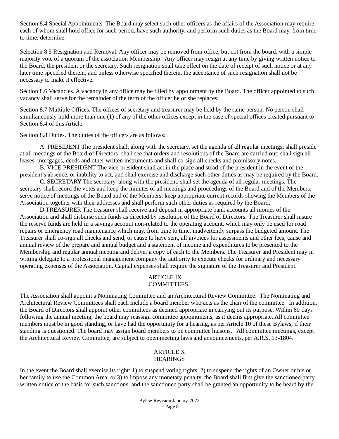Section 8.4 Special Appointments. The Board may select such other officers as the affairs of the Association may require, each of whom shall hold office for such period, have such authority, and perform such duties as the Board may, from time to time, determine.

Selection 8.5 Resignation and Removal. Any officer may be removed from office, but not from the board, with a simple majority vote of a quorum of the association Membership. Any officer may resign at any time by giving written notice to the Board, the president or the secretary. Such resignation shall take effect on the date of receipt of such notice or at any later time specified therein, and unless otherwise specified therein, the acceptance of such resignation shall not be necessary to make it effective.

Section 8.6 Vacancies. A vacancy in any office may be filled by appointment by the Board. The officer appointed to such vacancy shall serve for the remainder of the term of the officer he or she replaces.

Section 8.7 Multiple Offices. The offices of secretary and treasurer may be held by the same person. No person shall simultaneously hold more than one (1) of any of the other offices except in the case of special offices created pursuant to Section 8.4 of this Article.

Section 8.8 Duties. The duties of the officers are as follows:

A. PRESIDENT The president shall, along with the secretary, set the agenda of all regular meetings; shall preside at all meetings of the Board of Directors; shall see that orders and resolutions of the Board are carried out; shall sign all leases, mortgages, deeds and other written instruments and shall co-sign all checks and promissory notes.

B. VICE-PRESIDENT The vice-president shall act in the place and stead of the president in the event of the president's absence, or inability to act, and shall exercise and discharge such other duties as may be required by the Board.

C. SECRETARY The secretary, along with the president, shall set the agenda of all regular meetings. The secretary shall record the votes and keep the minutes of all meetings and proceedings of the Board and of the Members; serve notice of meetings of the Board and of the Members; keep appropriate current records showing the Members of the Association together with their addresses and shall perform such other duties as required by the Board.

D TREASURER The treasurer shall receive and deposit in appropriate bank accounts all monies of the Association and shall disburse such funds as directed by resolution of the Board of Directors. The Treasurer shall insure the reserve funds are held in a savings account non-related to the operating account, which may only be used for road repairs or emergency road maintenance which may, from time to time, inadvertently surpass the budgeted amount. The Treasurer shall co-sign all checks and send, or cause to have sent, all invoices for assessments and other fees; cause and annual review of the prepare and annual budget and a statement of income and expenditures to be presented to the Membership and regular annual meeting and deliver a copy of each to the Members. The Treasurer and President may in writing delegate to a professional management company the authority to execute checks for ordinary and necessary operating expenses of the Association. Capital expenses shall require the signature of the Treasurer and President.

# ARTICLE IX **COMMITTEES**

The Association shall appoint a Nominating Committee and an Architectural Review Committee. The Nominating and Architectural Review Committees shall each include a board member who acts as the chair of the committee. In addition, the Board of Directors shall appoint other committees as deemed appropriate in carrying out its purpose. Within 60 days following the annual meeting, the board may reassign committee appointments, as it deems appropriate. All committee members must be in good standing, or have had the opportunity for a hearing, as per Article 10 of these Bylaws, if their standing is questioned. The board may assign board members to be committee liaisons. All committee meetings, except the Architectural Review Committee, are subject to open meeting laws and announcements, per A.R.S. 13-1804.

#### ARTICLE X **HEARINGS**

In the event the Board shall exercise its right: 1) to suspend voting rights; 2) to suspend the rights of an Owner or his or her family to use the Common Area; or 3) to impose any monetary penalty, the Board shall first give the sanctioned party written notice of the basis for such sanctions, and the sanctioned party shall be granted an opportunity to be heard by the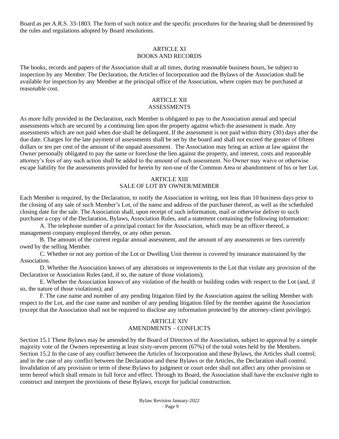Board as per A.R.S. 33-1803. The form of such notice and the specific procedures for the hearing shall be determined by the rules and regulations adopted by Board resolutions.

# ARTICLE XI BOOKS AND RECORDS

The books, records and papers of the Association shall at all times, during reasonable business hours, be subject to inspection by any Member. The Declaration, the Articles of Incorporation and the Bylaws of the Association shall be available for inspection by any Member at the principal office of the Association, where copies may be purchased at reasonable cost.

#### ARTICLE XII **ASSESSMENTS**

As more fully provided in the Declaration, each Member is obligated to pay to the Association annual and special assessments which are secured by a continuing lien upon the property against which the assessment is made. Any assessments which are not paid when due shall be delinquent. If the assessment is not paid within thirty (30) days after the due date. Charges for the late payment of assessments shall be set by the board and shall not exceed the greater of fifteen dollars or ten per cent of the amount of the unpaid assessment. The Association may bring an action at law against the Owner personally obligated to pay the same or foreclose the lien against the property, and interest, costs and reasonable attorney's fees of any such action shall be added to the amount of such assessment. No Owner may waive or otherwise escape liability for the assessments provided for herein by non-use of the Common Area or abandonment of his or her Lot.

#### ARTICLE XIII SALE OF LOT BY OWNER/MEMBER

Each Member is required, by the Declaration, to notify the Association in writing, not less than 10 business days prior to the closing of any sale of such Member's Lot, of the name and address of the purchaser thereof, as well as the scheduled closing date for the sale. The Association shall, upon receipt of such information, mail or otherwise deliver to such purchaser a copy of the Declaration, Bylaws, Association Rules, and a statement containing the following information:

A. The telephone number of a principal contact for the Association, which may be an officer thereof, a management company employed thereby, or any other person.

B. The amount of the current regular annual assessment, and the amount of any assessments or fees currently owed by the selling Member.

C. Whether or not any portion of the Lot or Dwelling Unit thereon is covered by insurance maintained by the Association.

D. Whether the Association knows of any alterations or improvements to the Lot that violate any provision of the Declaration or Association Rules (and, if so, the nature of those violations);

E. Whether the Association knows of any violation of the health or building codes with respect to the Lot (and, if so, the nature of those violations); and

F. The case name and number of any pending litigation filed by the Association against the selling Member with respect to the Lot, and the case name and number of any pending litigation filed by the member against the Association (except that the Association shall not be required to disclose any information protected by the attorney-client privilege).

# ARTICLE XIV AMENDMENTS – CONFLICTS

Section 15.1 These Bylaws may be amended by the Board of Directors of the Association, subject to approval by a simple majority vote of the Owners representing at least sixty-seven percent (67%) of the total votes held by the Members. Section 15.2 In the case of any conflict between the Articles of Incorporation and these Bylaws, the Articles shall control; and in the case of any conflict between the Declaration and these Bylaws or the Articles, the Declaration shall control. Invalidation of any provision or term of these Bylaws by judgment or court order shall not affect any other provision or term hereof which shall remain in full force and effect. Through its Board, the Association shall have the exclusive right to construct and interpret the provisions of these Bylaws, except for judicial construction.